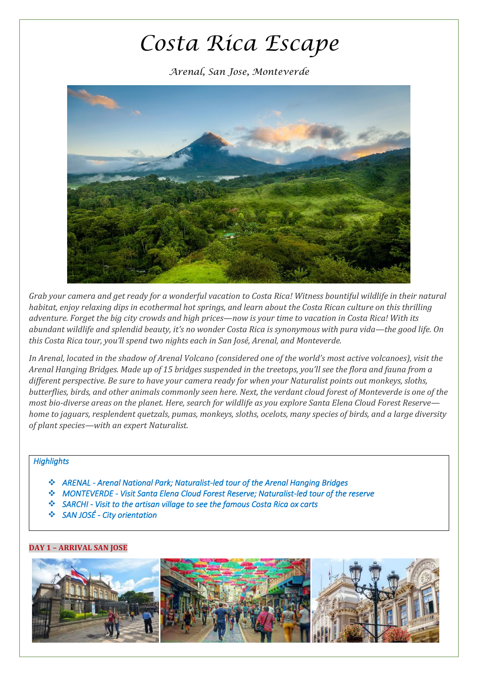# *Costa Rica Escape*

*Arenal, San Jose, Monteverde*



*Grab your camera and get ready for a wonderful vacation to Costa Rica! Witness bountiful wildlife in their natural habitat, enjoy relaxing dips in ecothermal hot springs, and learn about the Costa Rican culture on this thrilling adventure. Forget the big city crowds and high prices—now is your time to vacation in Costa Rica! With its abundant wildlife and splendid beauty, it's no wonder Costa Rica is synonymous with pura vida—the good life. On this Costa Rica tour, you'll spend two nights each in San José, Arenal, and Monteverde.*

*In Arenal, located in the shadow of Arenal Volcano (considered one of the world's most active volcanoes), visit the Arenal Hanging Bridges. Made up of 15 bridges suspended in the treetops, you'll see the flora and fauna from a different perspective. Be sure to have your camera ready for when your Naturalist points out monkeys, sloths, butterflies, birds, and other animals commonly seen here. Next, the verdant cloud forest of Monteverde is one of the most bio-diverse areas on the planet. Here, search for wildlife as you explore Santa Elena Cloud Forest Reserve home to jaguars, resplendent quetzals, pumas, monkeys, sloths, ocelots, many species of birds, and a large diversity of plant species—with an expert Naturalist.*

### *Highlights*

- ❖ *ARENAL Arenal National Park; Naturalist-led tour of the Arenal Hanging Bridges*
- ❖ *MONTEVERDE Visit Santa Elena Cloud Forest Reserve; Naturalist-led tour of the reserve*
- ❖ *SARCHI Visit to the artisan village to see the famous Costa Rica ox carts*
- ❖ *SAN JOSÉ City orientation*

#### **DAY 1 – ARRIVAL SAN JOSE**

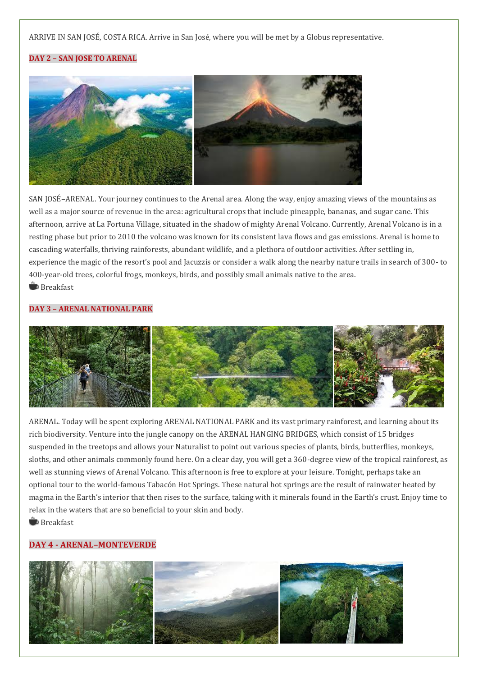ARRIVE IN SAN JOSÉ, COSTA RICA. Arrive in San José, where you will be met by a Globus representative.

#### **DAY 2 – SAN JOSE TO ARENAL**



SAN JOSÉ–ARENAL. Your journey continues to the Arenal area. Along the way, enjoy amazing views of the mountains as well as a major source of revenue in the area: agricultural crops that include pineapple, bananas, and sugar cane. This afternoon, arrive at La Fortuna Village, situated in the shadow of mighty Arenal Volcano. Currently, Arenal Volcano is in a resting phase but prior to 2010 the volcano was known for its consistent lava flows and gas emissions. Arenal is home to cascading waterfalls, thriving rainforests, abundant wildlife, and a plethora of outdoor activities. After settling in, experience the magic of the resort's pool and Jacuzzis or consider a walk along the nearby nature trails in search of 300- to 400-year-old trees, colorful frogs, monkeys, birds, and possibly small animals native to the area. **B** Breakfast

#### **DAY 3 – ARENAL NATIONAL PARK**



ARENAL. Today will be spent exploring ARENAL NATIONAL PARK and its vast primary rainforest, and learning about its rich biodiversity. Venture into the jungle canopy on the ARENAL HANGING BRIDGES, which consist of 15 bridges suspended in the treetops and allows your Naturalist to point out various species of plants, birds, butterflies, monkeys, sloths, and other animals commonly found here. On a clear day, you will get a 360-degree view of the tropical rainforest, as well as stunning views of Arenal Volcano. This afternoon is free to explore at your leisure. Tonight, perhaps take an optional tour to the world-famous Tabacón Hot Springs. These natural hot springs are the result of rainwater heated by magma in the Earth's interior that then rises to the surface, taking with it minerals found in the Earth's crust. Enjoy time to relax in the waters that are so beneficial to your skin and body. **Breakfast** 

#### **DAY 4 - ARENAL–MONTEVERDE**

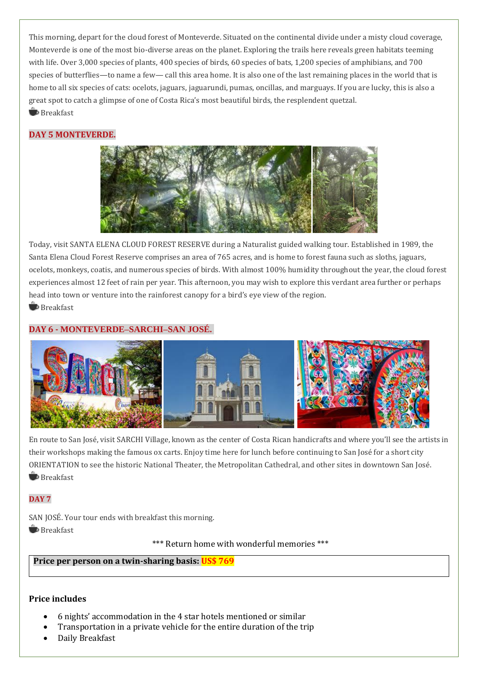This morning, depart for the cloud forest of Monteverde. Situated on the continental divide under a misty cloud coverage, Monteverde is one of the most bio-diverse areas on the planet. Exploring the trails here reveals green habitats teeming with life. Over 3,000 species of plants, 400 species of birds, 60 species of bats, 1,200 species of amphibians, and 700 species of butterflies—to name a few— call this area home. It is also one of the last remaining places in the world that is home to all six species of cats: ocelots, jaguars, jaguarundi, pumas, oncillas, and marguays. If you are lucky, this is also a great spot to catch a glimpse of one of Costa Rica's most beautiful birds, the resplendent quetzal. **Breakfast** 

# **DAY 5 MONTEVERDE.**



Today, visit SANTA ELENA CLOUD FOREST RESERVE during a Naturalist guided walking tour. Established in 1989, the Santa Elena Cloud Forest Reserve comprises an area of 765 acres, and is home to forest fauna such as sloths, jaguars, ocelots, monkeys, coatis, and numerous species of birds. With almost 100% humidity throughout the year, the cloud forest experiences almost 12 feet of rain per year. This afternoon, you may wish to explore this verdant area further or perhaps head into town or venture into the rainforest canopy for a bird's eye view of the region. **B** Breakfast

## **DAY 6 - MONTEVERDE–SARCHI–SAN JOSÉ.**



En route to San José, visit SARCHI Village, known as the center of Costa Rican handicrafts and where you'll see the artists in their workshops making the famous ox carts. Enjoy time here for lunch before continuing to San José for a short city ORIENTATION to see the historic National Theater, the Metropolitan Cathedral, and other sites in downtown San José. **Breakfast** 

#### **DAY 7**

SAN JOSÉ. Your tour ends with breakfast this morning. **Breakfast** 

\*\*\* Return home with wonderful memories \*\*\*

## **Price per person on a twin-sharing basis: US\$ 769**

#### **Price includes**

- 6 nights' accommodation in the 4 star hotels mentioned or similar
- Transportation in a private vehicle for the entire duration of the trip
- Daily Breakfast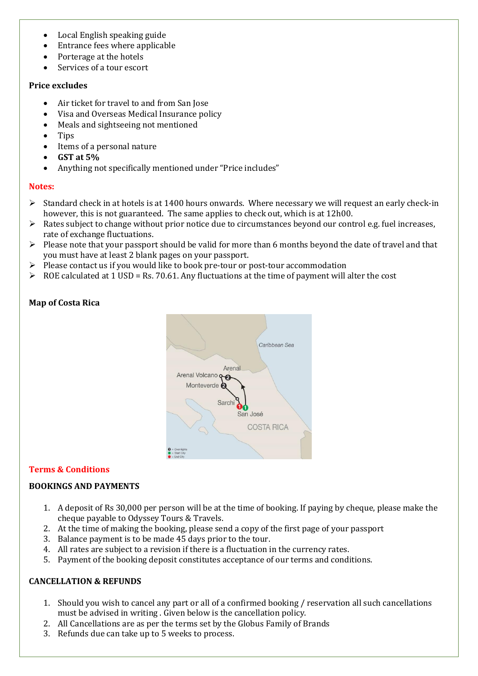- Local English speaking guide
- Entrance fees where applicable
- Porterage at the hotels
- Services of a tour escort

#### **Price excludes**

- Air ticket for travel to and from San Jose
- Visa and Overseas Medical Insurance policy
- Meals and sightseeing not mentioned
- Tips
- Items of a personal nature
- **GST at 5%**
- Anything not specifically mentioned under "Price includes"

#### **Notes:**

- $\triangleright$  Standard check in at hotels is at 1400 hours onwards. Where necessary we will request an early check-in however, this is not guaranteed. The same applies to check out, which is at 12h00.
- ➢ Rates subject to change without prior notice due to circumstances beyond our control e.g. fuel increases, rate of exchange fluctuations.
- ➢ Please note that your passport should be valid for more than 6 months beyond the date of travel and that you must have at least 2 blank pages on your passport.
- $\triangleright$  Please contact us if you would like to book pre-tour or post-tour accommodation
- $\triangleright$  ROE calculated at 1 USD = Rs. 70.61. Any fluctuations at the time of payment will alter the cost

## **Map of Costa Rica**



#### **Terms & Conditions**

#### **BOOKINGS AND PAYMENTS**

- 1. A deposit of Rs 30,000 per person will be at the time of booking. If paying by cheque, please make the cheque payable to Odyssey Tours & Travels.
- 2. At the time of making the booking, please send a copy of the first page of your passport
- 3. Balance payment is to be made 45 days prior to the tour.
- 4. All rates are subject to a revision if there is a fluctuation in the currency rates.
- 5. Payment of the booking deposit constitutes acceptance of our terms and conditions.

#### **CANCELLATION & REFUNDS**

- 1. Should you wish to cancel any part or all of a confirmed booking / reservation all such cancellations must be advised in writing . Given below is the cancellation policy.
- 2. All Cancellations are as per the terms set by the Globus Family of Brands
- 3. Refunds due can take up to 5 weeks to process.